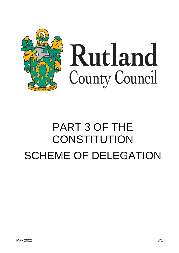

# Rutland County Council

# PART 3 OF THE **CONSTITUTION** SCHEME OF DELEGATION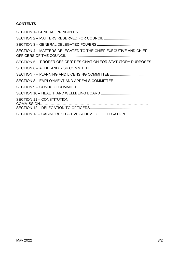## **CONTENTS**

| SECTION 4 - MATTERS DELEGATED TO THE CHIEF EXECUTIVE AND CHIEF  |
|-----------------------------------------------------------------|
| SECTION 5 – 'PROPER OFFICER' DESIGNATION FOR STATUTORY PURPOSES |
|                                                                 |
|                                                                 |
| SECTION 8 - EMPLOYMENT AND APPEALS COMMITTEE                    |
|                                                                 |
|                                                                 |
| SECTION 11 - CONSTITUTION                                       |
| SECTION 13 - CABINET/EXECUTIVE SCHEME OF DELEGATION             |
|                                                                 |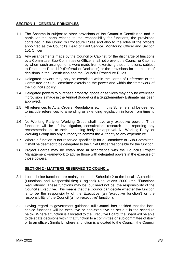#### **SECTION 1 - GENERAL PRINCIPLES**

- 1.1 The Scheme is subject to other provisions of the Council's Constitution and in particular the parts relating to the responsibility for functions, the provisions contained in the Council's Procedure Rules and also to the roles of the officers appointed as the Council's Head of Paid Service, Monitoring Officer and Section 151 Officer.
- 1.2 Any arrangements made by the Council or Cabinet for the discharge of functions by a Committee, Sub-Committee or Officer shall not prevent the Council or Cabinet by whom such arrangements were made from exercising those functions, subject to Procedure Rule 110 (Referral of Decisions) or the provisions for the call-in of decisions in the Constitution and the Council's Procedure Rules.
- 1.3 Delegated powers may only be exercised within the Terms of Reference of the Committee or Sub-Committee exercising the power and within the framework of the Council's policy.
- 1.4 Delegated powers to purchase property, goods or services may only be exercised if provision is made in the Annual Budget or if a Supplementary Estimate has been approved.
- 1.5 All references to Acts, Orders, Regulations etc., in this Scheme shall be deemed to include references to amending or extending legislation in force from time to time.
- 1.6 No Working Party or Working Group shall have any executive powers. Their functions will be of investigation, consultation, research and reporting any recommendations to their appointing body for approval. No Working Party, or Working Group has any authority to commit the Authority to any expenditure.
- 1.7 Where a function is not reserved specifically for a Committee or Sub-Committee, it shall be deemed to be delegated to the Chief Officer responsible for the function.
- 1.8 Project Boards may be established in accordance with the Council's Project Management Framework to advise those with delegated powers in the exercise of those powers.

#### **SECTION 2 - MATTERS RESERVED TO COUNCIL**

- 2.1 Local choice functions are mainly set out in Schedule 2 to the Local Authorities (Functions and Responsibilities) (England) Regulations 2000 (the "Functions Regulations". These functions may be, but need not be, the responsibility of the Council's Executive. This means that the Council can decide whether the function is to be the responsibility of the Executive (an 'executive function') or the responsibility of the Council (a 'non-executive' function).
- 2.2 Having regard to government guidance full Council has decided that the local choice functions will be executive or non-executive as set out in the schedule below. Where a function is allocated to the Executive Board, the Board will be able to delegate decisions within that function to a committee or sub-committee of itself or to an officer. Similarly, where a function is allocated to the Council, the Council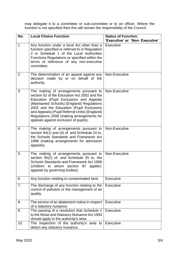may delegate it to a committee or sub-committee or to an officer. Where the function is not specified then this will remain the responsibility of the Council.

| No. | <b>Local Choice Function</b>                                                                                                                                                                                                                                                                                                                                       | <b>Status of Function:</b><br>'Executive' or 'Non- Executive' |
|-----|--------------------------------------------------------------------------------------------------------------------------------------------------------------------------------------------------------------------------------------------------------------------------------------------------------------------------------------------------------------------|---------------------------------------------------------------|
| 1.  | Any function under a local Act other than a<br>function specified or referred to in Regulation<br>2 or Schedule 1 of the Local Authorities<br>Functions Regulations or specified within the<br>terms of reference of any non-executive<br>committee.                                                                                                               | Executive                                                     |
| 2.  | The determination of an appeal against any<br>decision made by or on behalf of the<br>authority.                                                                                                                                                                                                                                                                   | Non-Executive                                                 |
| 3.  | The making of arrangements pursuant to<br>section 52 of the Education Act 2002 and the<br>Education (Pupil Exclusions and Appeals<br>(Maintained Schools) (England) Regulations<br>2002 and the Education (Pupil Exclusions<br>and Appeals) (Pupil Referral Units) (England)<br>Regulations 2008 (making arrangements for<br>appeals against exclusion of pupils). | Non-Executive                                                 |
| 4.  | The making of arrangements pursuant to<br>section 94(1) and (4) of, and Schedule 24 to,<br>the Schools Standards and Framework Act<br>1998 (making arrangements for admission<br>appeals).                                                                                                                                                                         | Non-Executive                                                 |
| 5.  | The making of arrangements pursuant to<br>section 95(2) of, and Schedule 25 to, the<br>Schools Standards and Framework Act 1998<br>(children to whom section 87<br>applies:<br>appeals by governing bodies).                                                                                                                                                       | Non-Executive                                                 |
| 6.  | Any function relating to contaminated land.                                                                                                                                                                                                                                                                                                                        | Executive                                                     |
| 7.  | The discharge of any function relating to the<br>control of pollution or the management of air<br>quality.                                                                                                                                                                                                                                                         | Executive                                                     |
| 8.  | The service of an abatement notice in respect<br>of a statutory nuisance.                                                                                                                                                                                                                                                                                          | Executive                                                     |
| 9.  | The passing of a resolution that Schedule 2<br>to the Noise and Statutory Nuisance Act 1993<br>should apply in the authority's area.                                                                                                                                                                                                                               | <b>Executive</b>                                              |
| 10. | The inspection of the authority's area to<br>detect any statutory nuisance.                                                                                                                                                                                                                                                                                        | Executive                                                     |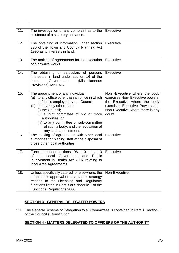| 11. | The investigation of any complaint as to the<br>existence of a statutory nuisance.                                                                                                                                                                                                                                                                     | Executive                                                                                                                                                                         |
|-----|--------------------------------------------------------------------------------------------------------------------------------------------------------------------------------------------------------------------------------------------------------------------------------------------------------------------------------------------------------|-----------------------------------------------------------------------------------------------------------------------------------------------------------------------------------|
| 12. | The obtaining of information under section<br>330 of the Town and Country Planning Act<br>1990 as to interests in land.                                                                                                                                                                                                                                | <b>Executive</b>                                                                                                                                                                  |
| 13. | The making of agreements for the execution<br>of highways works.                                                                                                                                                                                                                                                                                       | Executive                                                                                                                                                                         |
| 14. | The obtaining of particulars of persons<br>interested in land under section 16 of the<br>Local<br>Government<br>(Miscellaneous<br>Provisions) Act 1976.                                                                                                                                                                                                | Executive                                                                                                                                                                         |
| 15. | The appointment of any individual:<br>(a) to any office other than an office in which<br>he/she is employed by the Council;<br>(b) to anybody other than:<br>(i) the Council;<br>(ii) a joint committee of two or more<br>authorities; or<br>(iii) to any committee or sub-committee<br>of such a body, and the revocation of<br>any such appointment. | Non - Executive where the body<br>exercises Non-Executive powers,<br>the Executive where the body<br>exercises Executive Powers and<br>Non-Executive where there is any<br>doubt. |
| 16. | The making of agreements with other local<br>authorities for placing staff at the disposal of<br>those other local authorities.                                                                                                                                                                                                                        | Executive                                                                                                                                                                         |
| 17. | Functions under sections 106, 110, 111, 113<br>of the Local Government and Public<br>Involvement in Health Act 2007 relating to<br>local Area Agreements                                                                                                                                                                                               | Executive                                                                                                                                                                         |
| 18. | Unless specifically catered for elsewhere, the<br>adoption or approval of any plan or strategy<br>relating to the Licensing and Regulatory<br>functions listed in Part B of Schedule 1 of the<br>Functions Regulations 2000.                                                                                                                           | Non-Executive                                                                                                                                                                     |

#### **SECTION 3 - GENERAL DELEGATED POWERS**

3.1 The General Scheme of Delegation to all Committees is contained in Part 3, Section 11 of the Council's Constitution.

## **SECTION 4 - MATTERS DELEGATED TO OFFICERS OF THE AUTHORITY**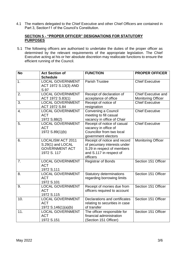4.1 The matters delegated to the Chief Executive and other Chief Officers are contained in Part 3, Section11 of the Council's Constitution.

#### **SECTION 5 - "PROPER OFFICER" DESIGNATIONS FOR STATUTORY PURPOSES**

5.1 The following officers are authorised to undertake the duties of the proper officer as determined by the relevant requirements of the appropriate legislation. The Chief Executive acting at his or her absolute discretion may reallocate functions to ensure the efficient running of the Council.

| <b>No</b> | <b>Act Section of</b>    | <b>FUNCTION</b>                                              | <b>PROPER OFFICER</b>      |
|-----------|--------------------------|--------------------------------------------------------------|----------------------------|
|           | <b>Schedule</b>          |                                                              |                            |
| 1.        | <b>LOCAL GOVERNMENT</b>  | <b>Parish Trustee</b>                                        | <b>Chief Executive</b>     |
|           | ACT 1972 S.13(3) AND     |                                                              |                            |
|           | S.97                     |                                                              |                            |
| 2.        | <b>LOCAL GOVERNMENT</b>  | Receipt of declaration of                                    | <b>Chief Executive and</b> |
|           | ACT 1972 S.83(1)         | acceptance of office                                         | <b>Monitoring Officer</b>  |
| 3.        | <b>LOCAL GOVERNMENT</b>  | Receipt of notice of                                         | <b>Chief Executive</b>     |
|           | ACT 1972 S.84            | resignation                                                  |                            |
| 4.        | <b>LOCAL GOVERNMENT</b>  | Convening a Council                                          | <b>Chief Executive</b>     |
|           | <b>ACT</b>               | meeting to fill casual                                       |                            |
|           | 1972 S.88(2)             | vacancy in office of Chair                                   |                            |
| 5.        | <b>LOCAL GOVERNMENT</b>  | Receipt of notice of casual                                  | <b>Chief Executive</b>     |
|           | <b>ACT</b>               | vacancy in office of                                         |                            |
|           | 1972 S.89(1)(b)          | Councillor from two local                                    |                            |
| 6.        | <b>LOCALISM ACT 2011</b> | government electors                                          |                            |
|           | S.29(1) and LOCAL        | Receipt of notice and record<br>of pecuniary interests under | <b>Monitoring Officer</b>  |
|           | <b>GOVERNMENT ACT</b>    | S.29 in respect of members                                   |                            |
|           | 1972 S. 117              | and S.117 in respect of                                      |                            |
|           |                          | officers                                                     |                            |
| 7.        | <b>LOCAL GOVERNMENT</b>  | <b>Registrar of Bonds</b>                                    | Section 151 Officer        |
|           | <b>ACT</b>               |                                                              |                            |
|           | 1972 S.111               |                                                              |                            |
| 8.        | <b>LOCAL GOVERNMENT</b>  | <b>Statutory determinations</b>                              | Section 151 Officer        |
|           | <b>ACT</b>               | regarding borrowing limits                                   |                            |
|           | 1972 S.101               |                                                              |                            |
| 9.        | <b>LOCAL GOVERNMENT</b>  | Receipt of monies due from                                   | Section 151 Officer        |
|           | <b>ACT</b>               | officers required to account                                 |                            |
|           | 1972 S.115               |                                                              |                            |
| 10.       | <b>LOCAL GOVERNMENT</b>  | Declarations and certificates                                | Section 151 Officer        |
|           | <b>ACT</b>               | relating to securities in case                               |                            |
|           | 1972 S.146(1)(a)(b)      | of transfer                                                  |                            |
| 11.       | <b>LOCAL GOVERNMENT</b>  | The officer responsible for                                  | Section 151 Officer        |
|           | <b>ACT</b>               | financial administration                                     |                            |
|           | 1972 S.151               | (Section 151 Officer)                                        |                            |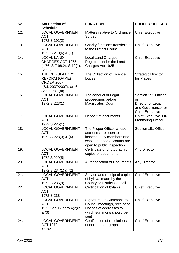| <b>No</b> | <b>Act Section of</b>                                                                                    | <b>FUNCTION</b>                                                                                                                          | <b>PROPER OFFICER</b>                                                                         |
|-----------|----------------------------------------------------------------------------------------------------------|------------------------------------------------------------------------------------------------------------------------------------------|-----------------------------------------------------------------------------------------------|
|           | <b>Schedule</b>                                                                                          |                                                                                                                                          |                                                                                               |
| 12.       | <b>LOCAL GOVERNMENT</b><br><b>ACT</b><br>1972 S.191(2)                                                   | Matters relative to Ordnance<br>Survey                                                                                                   | <b>Chief Executive</b>                                                                        |
| 13.       | <b>LOCAL GOVERNMENT</b><br><b>ACT</b><br>1972 S.210(6) & (7)                                             | Charity functions transferred<br>to the District Council                                                                                 | <b>Chief Executive</b>                                                                        |
| 14.       | <b>LOCAL LAND</b><br><b>CHARGES ACT 1975</b><br>(c.76, SIF 98:2), S.19(1),<br>Sch. 2                     | <b>Local Land Charges</b><br>Registrar under the Land<br>Charges Act 1925                                                                | <b>Chief Executive</b>                                                                        |
| 15.       | THE REGULATORY<br><b>REFORM (GAME)</b><br><b>ORDER 2007</b><br>(S.I. 2007/2007), art.6.<br>Sch.para.1(m) | The Collection of Licence<br><b>Duties</b>                                                                                               | <b>Strategic Director</b><br>for Places                                                       |
| 16.       | <b>LOCAL GOVERNMENT</b><br><b>ACT</b><br>1972 S.223(1)                                                   | The conduct of Legal<br>proceedings before<br><b>Magistrates' Court</b>                                                                  | Section 151 Officer<br>or<br>Director of Legal<br>and Governance or<br><b>Chief Executive</b> |
| 17.       | <b>LOCAL GOVERNMENT</b><br><b>ACT</b><br>1972 S.225(1)                                                   | Deposit of documents                                                                                                                     | <b>Chief Executive OR</b><br><b>Monitoring Officer</b>                                        |
| 18.       | <b>LOCAL GOVERNMENT</b><br><b>ACT</b><br>1972 S.228(3) & (4)                                             | The Proper Officer whose<br>accounts are open to<br>inspection by members and<br>whose audited accounts are<br>open to public inspection | Section 151 Officer                                                                           |
| 19.       | <b>LOCAL GOVERNMENT</b><br><b>ACT</b><br>1972 S.229(5)                                                   | Certificate of photographic<br>copies of documents                                                                                       | Any Director                                                                                  |
| 20.       | <b>LOCAL GOVERNMENT</b><br><b>ACT</b><br>1972 S.234(1) & (2)                                             | <b>Authentication of Documents</b>                                                                                                       | Any Director                                                                                  |
| 21.       | <b>LOCAL GOVERNMENT</b><br><b>ACT</b><br>1972 S.236(9)                                                   | Service and receipt of copies<br>of bylaws made by the<br><b>County or District Council</b>                                              | <b>Chief Executive</b>                                                                        |
| 22.       | <b>LOCAL GOVERNMENT</b><br><b>ACT</b><br>1972 S.238                                                      | Certification of bylaws                                                                                                                  | <b>Chief Executive</b>                                                                        |
| 23.       | <b>LOCAL GOVERNMENT</b><br><b>ACT</b><br>1972 Sch 12 para 4(2)(b)<br>&(3)                                | Signatures of Summons to<br>Council meetings, receipt of<br>Notices of addresses to<br>which summons should be<br>sent                   | <b>Chief Executive</b>                                                                        |
| 24.       | <b>LOCAL GOVERNMENT</b><br><b>ACT 1972</b><br>s.12(a)                                                    | Certification of resolutions<br>under the paragraph                                                                                      | <b>Chief Executive</b>                                                                        |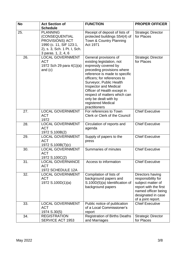| <b>No</b> | <b>Act Section of</b>                                                                                                                  | <b>FUNCTION</b>                                                                                                                                                                                                                                                                                                                                                    | <b>PROPER OFFICER</b>                                                                                                                                   |
|-----------|----------------------------------------------------------------------------------------------------------------------------------------|--------------------------------------------------------------------------------------------------------------------------------------------------------------------------------------------------------------------------------------------------------------------------------------------------------------------------------------------------------------------|---------------------------------------------------------------------------------------------------------------------------------------------------------|
|           | <b>Schedule</b>                                                                                                                        |                                                                                                                                                                                                                                                                                                                                                                    |                                                                                                                                                         |
| 25.       | <b>PLANNING</b><br>(CONSEQUENTIAL<br>PROVISIONS) ACT<br>1990 (c. 11, SIF 123:1,<br>2), s. 3, Sch. 1 Pt. I, Sch.<br>3 paras. 1, 2, 4, 6 | Receipt of deposit of lists of<br>protected buildings S54(4) of<br>Town & Country Planning<br>Act 1971                                                                                                                                                                                                                                                             | <b>Strategic Director</b><br>for Places                                                                                                                 |
| 26.       | <b>LOCAL GOVERNMENT</b><br><b>ACT</b><br>1972 Sch 29 para 4(1)(a)<br>and $(c)$                                                         | General provisions of<br>existing legislation, not<br>expressly covered by<br>preceding provisions where<br>reference is made to specific<br>officers; for references to<br>Surveyor, Public Health<br><b>Inspector and Medical</b><br>Officer of Health except in<br>respect of matters which can<br>only be dealt with by<br>registered Medical<br>practitioners | <b>Strategic Director</b><br>for Places                                                                                                                 |
| 27.       | <b>LOCAL GOVERNMENT</b><br><b>ACT</b><br>1972                                                                                          | For references to Town<br><b>Clerk or Clerk of the Council</b>                                                                                                                                                                                                                                                                                                     | <b>Chief Executive</b>                                                                                                                                  |
| 28.       | <b>LOCAL GOVERNMENT</b><br><b>ACT</b><br>1972 S.100B(2)                                                                                | Circulation of reports and<br>agenda                                                                                                                                                                                                                                                                                                                               | <b>Chief Executive</b>                                                                                                                                  |
| 29.       | <b>LOCAL GOVERNMENT</b><br><b>ACT</b><br>1972 S.100B(7)(c)                                                                             | Supply of papers to the<br>press                                                                                                                                                                                                                                                                                                                                   | <b>Chief Executive</b>                                                                                                                                  |
| 30.       | <b>LOCAL GOVERNMENT</b><br><b>ACT</b><br>1972 S.100C(2)                                                                                | Summaries of minutes                                                                                                                                                                                                                                                                                                                                               | <b>Chief Executive</b>                                                                                                                                  |
| 31.       | <b>LOCAL GOVERNANCE</b><br><b>ACT</b><br>1972 SCHEDULE 12A                                                                             | Access to information                                                                                                                                                                                                                                                                                                                                              | <b>Chief Executive</b>                                                                                                                                  |
| 32.       | <b>LOCAL GOVERNMENT</b><br><b>ACT</b><br>1972 S.100D(1)(a)                                                                             | Compilation of lists of<br>background papers and<br>S.100D(5)(a) Identification of<br>background papers                                                                                                                                                                                                                                                            | Directors having<br>responsibility for<br>subject matter of<br>report with the first<br>named officer being<br>designated in case<br>of a joint report. |
| 33.       | <b>LOCAL GOVERNMENT</b><br><b>ACT</b><br>1974 S.30(5)                                                                                  | Public notice of publication<br>of a Local Commissioner's<br>report                                                                                                                                                                                                                                                                                                | <b>Chief Executive</b>                                                                                                                                  |
| 34.       | <b>REGISTRATION</b><br><b>SERVICE ACT 1953</b>                                                                                         | <b>Registration of Births Deaths</b><br>and Marriages                                                                                                                                                                                                                                                                                                              | <b>Strategic Director</b><br>for Places                                                                                                                 |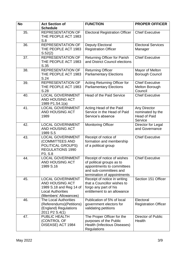| <b>No</b> | <b>Act Section of</b>                                                                                                             | <b>FUNCTION</b>                                                                                                                                 | <b>PROPER OFFICER</b>                                              |
|-----------|-----------------------------------------------------------------------------------------------------------------------------------|-------------------------------------------------------------------------------------------------------------------------------------------------|--------------------------------------------------------------------|
|           | <b>Schedule</b>                                                                                                                   |                                                                                                                                                 |                                                                    |
| 35.       | <b>REPRESENTATION OF</b><br>THE PEOPLE ACT 1983<br>S.8                                                                            | <b>Electoral Registration Officer</b>                                                                                                           | <b>Chief Executive</b>                                             |
| 36.       | <b>REPRESENTATION OF</b><br>THE PEOPLE ACT 1983<br>S.52(2)                                                                        | Deputy Electoral<br><b>Registration Officer</b>                                                                                                 | <b>Electoral Services</b><br>Manager                               |
| 37.       | <b>REPRESENTATION OF</b><br>THE PEOPLE ACT 1983<br>S.35                                                                           | <b>Returning Officer for Parish</b><br>and District Council elections                                                                           | <b>Chief Executive</b>                                             |
| 38.       | <b>REPRESENTATION OF</b><br>THE PEOPLE ACT 1983<br>S.24                                                                           | <b>Returning Officer</b><br><b>Parliamentary Elections</b>                                                                                      | Mayor of Melton<br><b>Borough Council</b>                          |
| 39.       | <b>REPRESENTATION OF</b><br>THE PEOPLE ACT 1983<br>S.28                                                                           | <b>Acting Returning Officer for</b><br><b>Parliamentary Elections</b>                                                                           | <b>Chief Executive</b><br><b>Melton Borough</b><br>Council         |
| 40.       | <b>LOCAL GOVERNMENT</b><br><b>AND HOUSING ACT</b><br>1989 P1.S4.1(a)                                                              | <b>Head of the Paid Service</b>                                                                                                                 | <b>Chief Executive</b>                                             |
| 41.       | <b>LOCAL GOVERNMENT</b><br>AND HOUSING ACT<br>1989                                                                                | Acting Head of the Paid<br>Service in the Head of Paid<br>Service's absence                                                                     | Any Director<br>nominated by the<br><b>Head of Paid</b><br>Service |
| 42.       | <b>LOCAL GOVERNMENT</b><br>AND HOUSING ACT<br>1989 S.5                                                                            | <b>Monitoring Officer</b>                                                                                                                       | Director for Legal<br>and Governance                               |
| 43.       | <b>LOCAL GOVERNMENT</b><br>(COMMITTEES AND<br>POLITICAL GROUPS)<br><b>REGULATIONS 1990</b><br>P3, S.8                             | Receipt of notice of<br>formation and membership<br>of a political group                                                                        | <b>Chief Executive</b>                                             |
| 44.       | <b>LOCAL GOVERNMENT</b><br>AND HOUSING ACT<br>1989 S.16                                                                           | Receipt of notice of wishes<br>of political groups as to<br>appointments to committees<br>and sub-committees and<br>termination of appointments | <b>Chief Executive</b>                                             |
| 45.       | <b>LOCAL GOVERNMENT</b><br><b>AND HOUSING ACT</b><br>1989 S.18 and Reg 14 of<br><b>Local Authorities</b><br>(Members' Allowances) | Receipt of notice in writing<br>that a Councillor wishes to<br>forgo any part of his<br>entitlement to an allowance                             | Section 151 Officer                                                |
| 46.       | <b>The Local Authorities</b><br>(Referendums)(Petitions)<br>(England) Regulations<br>2011 P2 S.4(1)                               | Publication of 5% of local<br>government electors for<br>validating petitions                                                                   | Electoral<br><b>Registration Officer</b>                           |
| 47.       | PUBLIC HEALTH<br>(CONTROL OF<br>DISEASE) ACT 1984                                                                                 | The Proper Officer for the<br>purposes of the Public<br>Health (Infectious Diseases)<br><b>Regulations</b>                                      | Director of Public<br>Health                                       |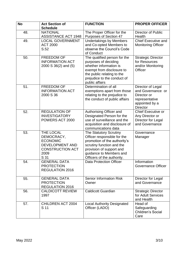| <b>No</b> | <b>Act Section of</b>                                                                                           | <b>FUNCTION</b>                                                                                                                                                                                         | <b>PROPER OFFICER</b>                                                                                        |
|-----------|-----------------------------------------------------------------------------------------------------------------|---------------------------------------------------------------------------------------------------------------------------------------------------------------------------------------------------------|--------------------------------------------------------------------------------------------------------------|
|           | <b>Schedule</b>                                                                                                 |                                                                                                                                                                                                         |                                                                                                              |
| 48.       | <b>NATIONAL</b><br><b>ASSISTANCE ACT 1948</b>                                                                   | The Proper Officer for the<br>Purposes of Section 47                                                                                                                                                    | <b>Director of Public</b><br>Health                                                                          |
| 49.       | <b>LOCAL GOVERNMENT</b><br><b>ACT 2000</b><br>S.52                                                              | <b>Undertakings by Members</b><br>and Co-opted Members to<br>observe the Council's Code<br>of Conduct                                                                                                   | <b>Chief Executive and</b><br><b>Monitoring Officer</b>                                                      |
| 50.       | <b>FREEDOM OF</b><br><b>INFORMATION ACT</b><br>$2000 S 36(2)$ and $(5)$                                         | The qualified person for the<br>purposes of deciding<br>whether information is<br>exempt from disclosure to<br>the public relating to the<br>prejudice to the conduct of<br>public affairs              | <b>Strategic Director</b><br>for Resources<br>and/or Monitoring<br>Officer                                   |
| 51.       | <b>FREEDOM OF</b><br><b>INFORMATION ACT</b><br>2000 S 36                                                        | Determination of all<br>exemptions apart from those<br>relating to the prejudice to<br>the conduct of public affairs                                                                                    | Director of Legal<br>and Governance or<br>Director or<br>representative<br>appointed by a<br><b>Director</b> |
| 52.       | <b>REGULATION OF</b><br><b>INVESTIGATORY</b><br>POWERS ACT 2000                                                 | Authorising Officer and<br>Designated Person for the<br>use of surveillance and the<br>acquisition and disclosure of<br>communications data                                                             | <b>Chief Executive or</b><br>Any Director or<br>Director for Legal<br>and Governance                         |
| 53.       | THE LOCAL<br>DEMOCRACY,<br><b>ECONOMIC</b><br><b>DEVELOPMENT AND</b><br><b>CONSTRUCTION ACT</b><br>2009<br>S 31 | The Statutory Scrutiny<br>Officer responsible for the<br>promotion of the authority's<br>scrutiny function and the<br>provision of support and<br>guidance to Members and<br>Officers of the authority. | Governance<br>Manager                                                                                        |
| 54.       | <b>GENERAL DATA</b><br><b>PROTECTION</b><br><b>REGULATION 2016</b>                                              | <b>Data Protection Officer</b>                                                                                                                                                                          | Information<br><b>Governance Officer</b>                                                                     |
| 55.       | <b>GENERAL DATA</b><br><b>PROTECTION</b><br><b>REGULATION 2016</b>                                              | <b>Senior Information Risk</b><br>Owner                                                                                                                                                                 | Director for Legal<br>and Governance                                                                         |
| 56.       | <b>CALDICOTT REVIEW</b><br>1997                                                                                 | <b>Caldicott Guardian</b>                                                                                                                                                                               | <b>Strategic Director</b><br>for Adult Services<br>and Health                                                |
| 57.       | <b>CHILDREN ACT 2004</b><br>S 11                                                                                | <b>Local Authority Designated</b><br>Officer (LADO)                                                                                                                                                     | Head of<br>Safeguarding<br><b>Children's Social</b><br>Care                                                  |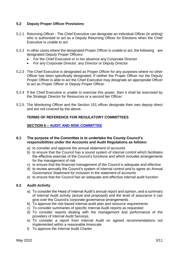#### **5.2 Deputy Proper Officer Provisions**

- 5.2.1 Returning Officer The Chief Executive can designate an individual Officer (in writing) who is authorised to act as a Deputy Returning Officer for Elections when the Chief Executive is unable to act
- 5.2.2 In other cases where the designated Proper Officer is unable to act, the following are designated Deputy Proper Officers:
	- For the Chief Executive or in her absence any Corporate Director
	- For any Corporate Director, any Director or Deputy Director
- 5.2.3 The Chief Executive is designated as Proper Officer for any purposes where no other Officer has been specifically designated. If neither the Proper Officer nor the Deputy Proper Officer is able to act the Chief Executive may designate an appropriate Officer to act as Proper Officer or Deputy Proper Officer.
- 5.2.4 If the Chief Executive is unable to exercise this power, then it shall be exercised by the Strategic Director for Resources or a second tier Officer.
- 5.2.5 The Monitoring Officer and the Section 151 officer designate their own deputy direct and are not covered by the above.

#### **TERMS OF REFERENCE FOR REGULATORY COMMITTEES**

#### **SECTION 6 – [AUDIT AND RISK COMMITTEE](https://rutlandcounty.moderngov.co.uk/mgCommitteeDetails.aspx?ID=134)**

#### **6.1 The purpose of the Committee is to undertake the County Council's responsibilities under the Accounts and Audit Regulations as follows:**

- a) to consider and approve the annual statement of accounts
- b) to ensure that the Council has a sound system of internal control which facilitates the effective exercise of the Council's functions and which includes arrangements for the management of risk
- c) to ensure that the financial management of the Council is adequate and effective
- d) to review annually the Council's system of internal control and to agree an Annual Governance Statement for inclusion in the statement of accounts
- e) to ensure that the Council has an adequate and effective internal audit function

#### **6.2 Audit Activity**

- a) To consider the Head of Internal Audit's annual report and opinion, and a summary of Internal Audit activity (actual and proposed) and the level of assurance it can give over the Council's corporate governance arrangements.
- b) To approve the risk-based internal audit plan and resource requirements
- c) To consider summaries of specific Internal Audit reports as requested
- d) To consider reports dealing with the management and performance of the providers of Internal Audit Services.
- e) To consider a report from Internal Audit on agreed recommendations not implemented within a reasonable timescale.
- f) To approve the Internal Audit Charter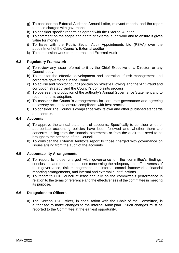- g) To consider the External Auditor's Annual Letter, relevant reports, and the report to those charged with governance
- h) To consider specific reports as agreed with the External Auditor
- i) To comment on the scope and depth of external audit work and to ensure it gives value for money
- j) To liaise with the Public Sector Audit Appointments Ltd (PSAA) over the appointment of the Council's External auditor
- k) To commission work from Internal and External Audit

#### **6.3 Regulatory Framework**

- a) To review any issue referred to it by the Chief Executive or a Director, or any Council body.
- b) To monitor the effective development and operation of risk management and corporate governance in the Council.
- c) To advise and monitor council policies on 'Whistle Blowing' and the 'Anti-fraud and corruption strategy' and the Council's complaints process.
- d) To oversee the production of the authority's Annual Governance Statement and to recommend its adoption.
- e) To consider the Council's arrangements for corporate governance and agreeing necessary actions to ensure compliance with best practice.
- f) To consider The Council's compliance with its own and other published standards and controls.

#### **6.4 Accounts**

- a) To approve the annual statement of accounts. Specifically to consider whether appropriate accounting policies have been followed and whether there are concerns arising from the financial statements or from the audit that need to be brought to the attention of the Council
- b) To consider the External Auditor's report to those charged with governance on issues arising from the audit of the accounts.

#### **6.5 Accountability Arrangements**

- a) To report to those charged with governance on the committee's findings, conclusions and recommendations concerning the adequacy and effectiveness of their governance, risk management and internal control frameworks; financial reporting arrangements, and internal and external audit functions.
- b) To report to Full Council at least annually on the committee's performance in relation to the terms of reference and the effectiveness of the committee in meeting its purpose.

#### **6.6 Delegations to Officers**

a) The Section 151 Officer, in consultation with the Chair of the Committee, is authorised to make changes to the Internal Audit plan. Such changes must be reported to the Committee at the earliest opportunity.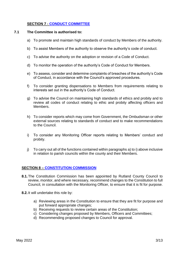#### **SECTION 7 - [CONDUCT COMMITTEE](https://rutlandcounty.moderngov.co.uk/mgCommitteeDetails.aspx?ID=274)**

#### **7.1 The Committee is authorised to:**

- a) To promote and maintain high standards of conduct by Members of the authority.
- b) To assist Members of the authority to observe the authority's code of conduct.
- c) To advise the authority on the adoption or revision of a Code of Conduct.
- d) To monitor the operation of the authority's Code of Conduct for Members.
- e) To assess, consider and determine complaints of breaches of the authority's Code of Conduct, in accordance with the Council's approved procedures.
- f) To consider granting dispensations to Members from requirements relating to interests set out in the authority's Code of Conduct.
- g) To advise the Council on maintaining high standards of ethics and probity and to review all codes of conduct relating to ethic and probity affecting officers and Members.
- h) To consider reports which may come from Government, the Ombudsman or other external sources relating to standards of conduct and to make recommendations to the Council.
- i) To consider any Monitoring Officer reports relating to Members' conduct and probity.
- j) To carry out all of the functions contained within paragraphs a) to i) above inclusive in relation to parish councils within the county and their Members.

#### **SECTION 8 – [CONSTITUTION COMMISSION](https://rutlandcounty.moderngov.co.uk/mgCommitteeDetails.aspx?ID=430)**

- **8.1.**The Constitution Commission has been appointed by Rutland County Council to review, monitor, and where necessary, recommend changes to the Constitution to full Council, in consultation with the Monitoring Officer, to ensure that it is fit for purpose.
- **8.2.**It will undertake this role by:
	- a) Reviewing areas in the Constitution to ensure that they are fit for purpose and put forward appropriate changes;
	- b) Receiving requests to review certain areas of the Constitution;
	- c) Considering changes proposed by Members, Officers and Committees;
	- d) Recommending proposed changes to Council for approval.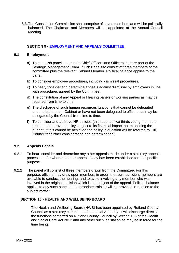**8.3.**The Constitution Commission shall comprise of seven members and will be politically balanced. The Chairman and Members will be appointed at the Annual Council Meeting.

#### **SECTION 9 - [EMPLOYMENT AND APPEALS COMMITTEE](https://rutlandcounty.moderngov.co.uk/mgCommitteeDetails.aspx?ID=131)**

#### **9.1 Employment**

- a) To establish panels to appoint Chief Officers and Officers that are part of the Strategic Management Team. Such Panels to consist of three members of the committee plus the relevant Cabinet Member. Political balance applies to the panel.
- b) To consider employee procedures, including dismissal procedures.
- c) To hear, consider and determine appeals against dismissal by employees in line with procedures agreed by the Committee.
- d) The constitution of any Appeal or Hearing panels or working parties as may be required from time to time.
- e) The discharge of such human resources functions that cannot be delegated under statute to the Cabinet or have not been delegated to officers, as may be delegated by the Council from time to time.
- f) To consider and approve HR policies (this requires two thirds voting members present to approve a policy subject to its financial impact not exceeding the budget. If this cannot be achieved the policy in question will be referred to Full Council for further consideration and determination).

#### **9.2 Appeals Panels**

- 9.2.1 To hear, consider and determine any other appeals made under a statutory appeals process and/or where no other appeals body has been established for the specific purpose.
- 9.2.2 The panel will consist of three members drawn from the Committee. For this purpose, officers may draw upon members in order to ensure sufficient members are available to conduct the hearing, and to avoid involving any member who was involved in the original decision which is the subject of the appeal. Political balance applies to any such panel and appropriate training will be provided in relation to the subject matter.

#### **SECTION 10 - HEALTH AND WELLBEING BOARD**

The Health and Wellbeing Board (HWB) has been appointed by Rutland County Council as a statutory committee of the Local Authority. It will discharge directly the functions conferred on Rutland County Council by Section 196 of the Health and Social Care Act 2012 and any other such legislation as may be in force for the time being.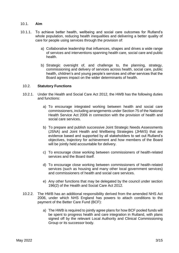#### 10.1. **Aim**

- 10.1.1. To achieve better health, wellbeing and social care outcomes for Rutland's whole population, reducing health inequalities and delivering a better quality of care for people using services through the provision of:
	- a) Collaborative leadership that influences, shapes and drives a wide range of services and interventions spanning health care, social care and public health.
	- b) Strategic oversight of, and challenge to, the planning, strategy, commissioning and delivery of services across health, social care, public health, children's and young people's services and other services that the Board agrees impact on the wider determinants of health.

#### 10.2. **Statutory Functions**

- 10.2.1. Under the Health and Social Care Act 2012, the HWB has the following duties and functions:
	- a) To encourage integrated working between health and social care commissioners, including arrangements under Section 75 of the National Health Service Act 2006 in connection with the provision of health and social care services.
	- b) To prepare and publish successive Joint Strategic Needs Assessments (JSNA) and Joint Health and Wellbeing Strategies (JHWS) that are evidence based and supported by all stakeholders to set out Rutland's objectives, trajectory for achievement and how members of the Board will be jointly held accountable for delivery.
	- c) To encourage close working between commissioners of health-related services and the Board itself.
	- d) To encourage close working between commissioners of health-related services (such as housing and many other local government services) and commissioners of health and social care services.
	- e) Any other functions that may be delegated by the council under section 196(2) of the Health and Social Care Act 2012.
- 10.2.2. The HWB has an additional responsibility derived from the amended NHS Act 2006, under which NHS England has powers to attach conditions to the payment of the Better Care Fund (BCF):
	- a) The HWB is required to jointly agree plans for how BCF pooled funds will be spent to progress health and care integration in Rutland, with plans signed off by the relevant Local Authority and Clinical Commissioning Group or its successor body.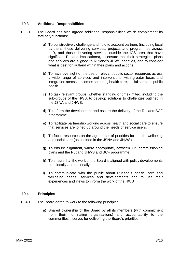#### 10.3. **Additional Responsibilities**

- 10.3.1. The Board has also agreed additional responsibilities which complement its statutory functions:
	- a) To constructively challenge and hold to account partners (including local partners, those delivering services, projects and programmes across LLR, and those delivering services outside the ICS area that have significant Rutland implications), to ensure that their strategies, plans and services are aligned to Rutland's JHWS priorities, and to consider what is best for Rutland within their plans and actions.
	- b) To have oversight of the use of relevant public sector resources across a wide range of services and interventions, with greater focus and integration across outcomes spanning health care, social care and public health.
	- c) To task relevant groups, whether standing or time-limited, including the sub-groups of the HWB, to develop solutions to challenges outlined in the JSNA and JHWS.
	- d) To inform the development and assure the delivery of the Rutland BCF programme.
	- e) To facilitate partnership working across health and social care to ensure that services are joined up around the needs of service users.
	- f) To focus resources on the agreed set of priorities for health, wellbeing and social care (as outlined in the JSNA and JHWS).
	- g) To ensure alignment, where appropriate, between ICS commissioning plans and the Rutland JHWS and BCF programme.
	- h) To ensure that the work of the Board is aligned with policy developments both locally and nationally.
	- i) To communicate with the public about Rutland's health, care and wellbeing needs, services and developments and to use their experiences and views to inform the work of the HWB

#### 10.4. **Principles**

- 10.4.1. The Board agree to work to the following principles:
	- a) Shared ownership of the Board by all its members (with commitment from their nominating organisations) and accountability to the communities it serves for delivering the Board's priorities.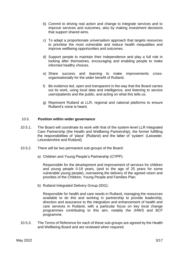- b) Commit to driving real action and change to integrate services and to improve services and outcomes, also by making investment decisions that support shared aims.
- c) To adapt a proportionate universalism approach that targets resources to prioritise the most vulnerable and reduce health inequalities and improve wellbeing opportunities and outcomes.
- d) Support people to maintain their independence and play a full role in looking after themselves, encouraging and enabling people to make informed healthy choices.
- e) Share success and learning to make improvements crossorganisationally for the wider benefit of Rutland.
- f) Be evidence led, open and transparent in the way that the Board carries out its work, using local data and intelligence, and listening to service users/patients and the public, and acting on what this tells us.
- g) Represent Rutland at LLR, regional and national platforms to ensure Rutland's voice is heard.

#### 10.5. **Position within wider governance**

- 10.5.1. The Board will coordinate its work with that of the system-level LLR Integrated Care Partnership (the Health and Wellbeing Partnership), the former fulfilling the responsibilities of 'place' (Rutland) and the latter of 'system' (Leicester, Leicestershire and Rutland).
- 10.5.2. There will be two permanent sub-groups of the Board:
	- a) Children and Young People's Partnership (CYPP):

Responsible for the development and improvement of services for children and young people 0-19 years, (and to the age of 25 years for some vulnerable young people), overseeing the delivery of the agreed vision and priorities of the Children, Young People and Families Plan.

b) Rutland Integrated Delivery Group (IDG):

Responsible for health and care needs in Rutland, managing the resources available to do this and working in partnership to provide leadership, direction and assurance to the integration and enhancement of health and care services in Rutland, with a particular focus on key local change programmes contributing to this aim, notably the JHWS and BCF programme.

10.5.3. The Terms of Reference for each of these sub-groups are agreed by the Health and Wellbeing Board and are reviewed when required.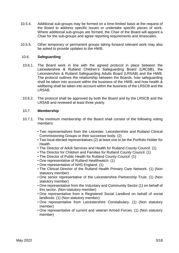- 10.5.4. Additional sub-groups may be formed on a time-limited basis at the request of the Board to address specific issues or undertake specific pieces of work. Where additional sub-groups are formed, the Chair of the Board will appoint a Chair for the sub-groups and agree reporting requirements and timescales.
- 10.5.5. Other temporary or permanent groups taking forward relevant work may also be asked to provide updates to the HWB.

#### 10.6. **Safeguarding**

- 10.6.1. The Board work in line with the agreed protocol in place between the Leicestershire & Rutland Children's Safeguarding Board (LRCSB), the Leicestershire & Rutland Safeguarding Adults Board (LRSAB) and the HWB. The protocol outlines the relationship between the Boards, how safeguarding shall be taken into account within the business of the HWB, and how health & wellbeing shall be taken into account within the business of the LRSCB and the LRSAB.
- 10.6.2. The protocol shall be approved by both the Board and by the LRSCB and the LRSAB and reviewed at least three yearly.

#### 10.7. **Membership**

- 10.7.1. The minimum membership of the Board shall consist of the following voting members:
	- Two representatives from the Leicester, Leicestershire and Rutland Clinical Commissioning Groups or their successor body. (2)
	- Two local elected representatives (2) at least one to be the Portfolio Holder for Health.
	- The Director of Adult Services and Health for Rutland County Council. (1)
	- The Director for Children and Families for Rutland County Council. (1)
	- The Director of Public Health for Rutland County Council. (1)
	- One representative of Rutland Healthwatch. (1)
	- One representative of NHS England. (1)
	- The Clinical Director of the Rutland Health Primary Care Network. (1) (Non statutory member)
	- One senior representative of the Leicestershire Partnership Trust. (1) (Non statutory member)
	- One representative from the Voluntary and Community Sector (1) on behalf of this sector. (Non-statutory member)
	- One representative from a Registered Social Landlord on behalf of social landlords. (1) (Non statutory member)
	- One representative from Leicestershire Constabulary. (1) (Non statutory member)
	- One representative of current and veteran Armed Forces. (1) (Non statutory member)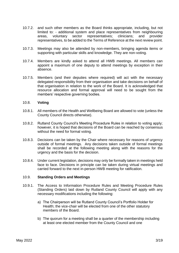- 10.7.2. and such other members as the Board thinks appropriate, including, but not limited to: - additional system and place representatives from neighbouring areas, voluntary sector representatives; clinicians; and provider representatives, to be added to the Terms of Reference at the next review point.
- 10.7.3. Meetings may also be attended by non-members, bringing agenda items or supporting with particular skills and knowledge. They are non-voting.
- 10.7.4. Members are kindly asked to attend all HWB meetings. All members can appoint a maximum of one deputy to attend meetings by exception in their absence.
- 10.7.5. Members (and their deputies where required) will act with the necessary delegated responsibility from their organisation and take decisions on behalf of that organisation in relation to the work of the Board. It is acknowledged that resource allocation and formal approval will need to be sought from the members' respective governing bodies.

#### 10.8. **Voting**

- 10.8.1. All members of the Health and Wellbeing Board are allowed to vote (unless the County Council directs otherwise).
- 10.8.2. Rutland County Council's Meeting Procedure Rules in relation to voting apply; however, it is hoped that decisions of the Board can be reached by consensus without the need for formal voting.
- 10.8.3. Decisions can be taken by the Chair where necessary for reasons of urgency outside of formal meetings. Any decisions taken outside of formal meetings shall be recorded at the following meeting along with the reasons for the urgency and the basis for the decision.
- 10.8.4. Under current legislation, decisions may only be formally taken in meetings held face to face. Decisions in principle can be taken during virtual meetings and carried forward to the next in-person HWB meeting for ratification.

#### 10.9. **Standing Orders and Meetings**

- 10.9.1. The Access to Information Procedure Rules and Meeting Procedure Rules (Standing Orders) laid down by Rutland County Council will apply with any necessary modifications including the following:
	- a) The Chairperson will be Rutland County Council's Portfolio Holder for Health; the vice-chair will be elected from one of the other statutory members of the Board.
	- b) The quorum for a meeting shall be a quarter of the membership including at least one elected member from the County Council and one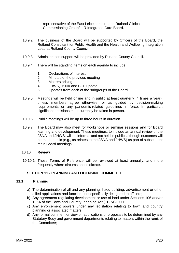representative of the East Leicestershire and Rutland Clinical Commissioning Group/LLR Integrated Care Board.

- 10.9.2. The business of the Board will be supported by Officers of the Board, the Rutland Consultant for Public Health and the Health and Wellbeing Integration Lead at Rutland County Council.
- 10.9.3. Administration support will be provided by Rutland County Council.
- 10.9.4. There will be standing items on each agenda to include:
	- 1. Declarations of interest
	- 2. Minutes of the previous meeting
	- 3. Matters arising
	- 4. JHWS, JSNA and BCF update
	- 5. Updates from each of the subgroups of the Board
- 10.9.5. Meetings will be held online and in public at least quarterly (4 times a year), unless members agree otherwise, or as guided by decision-making requirements or any pandemic-related guidelines in force. In particular, significant decisions must currently be taken in person.
- 10.9.6. Public meetings will be up to three hours in duration.
- 10.9.7. The Board may also meet for workshops or seminar sessions and for Board learning and development. These meetings, to include an annual review of the JSNA and JHWS, will be informal and not held in public, although outcomes will be made public (e.g., as relates to the JSNA and JHWS) as part of subsequent main Board meetings.

#### 10.10. **Review**

10.10.1. These Terms of Reference will be reviewed at least annually, and more frequently where circumstances dictate.

#### **SECTION 11 - PLANNING AND LICENSING COMMITTEE**

#### **11.1 Planning**

- a) The determination of all and any planning, listed building, advertisement or other allied applications and functions not specifically delegated to officers;
- b) Any agreement regulating development or use of land under Sections 106 and/or 106A of the Town and Country Planning Act (TCPA)1990;
- c) Any enforcement powers under any legislation relating to town and country planning or associated matters;
- d) Any formal comment or view on applications or proposals to be determined by any Statutory Body and government departments relating to matters within the remit of the Committee;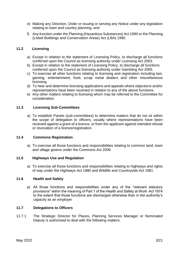- e) Making any Direction, Order or issuing or serving any Notice under any legislation relating to town and country planning; and
- f) Any function under the Planning (Hazardous Substances) Act 1990 or the Planning (Listed Buildings and Conservation Areas) Act (LBA) 1990.

#### **11.2 Licensing**

- a) Except in relation to the statement of Licensing Policy, to discharge all functions conferred upon the Council as licensing authority under Licensing Act 2003.
- b) Except in relation to the statement of Licensing Policy, to discharge all functions conferred upon the Council as licensing authority under Gambling Act 2005.
- c) To exercise all other functions relating to licensing and registration including taxi, gaming, entertainment, food, scrap metal dealers and other miscellaneous licensing.
- d) To hear and determine licensing applications and appeals where objections and/or representations have been received in relation to any of the above functions.
- e) Any other matters relating to licensing which may be referred to the Committee for consideration.

#### **11.3 Licensing Sub-Committees**

a) To establish Panels (sub-committees) to determine matters that do not sit within the scope of delegation to officers, usually where representations have been received against a grant of a licence, or from the applicant against intended refusal or revocation of a licence/registration.

#### **11.4 Commons Registration**

a) To exercise all those functions and responsibilities relating to common land, town and village greens under the Commons Act 2006

#### **11.5 Highways Use and Regulation**

a) To exercise all those functions and responsibilities relating to highways and rights of way under the Highways Act 1980 and Wildlife and Countryside Act 1981

#### **11.6 Health and Safety**

a) All those functions and responsibilities under any of the "relevant statutory provisions" within the meaning of Part 1 of the Health and Safety at Work Act 1974 to the extent that those functions are discharged otherwise than in the authority's capacity as an employer

#### **11.7 Delegations to Officers**

11.7.1 The Strategic Director for Places, Planning Services Manager or Nominated Deputy is authorised to deal with the following matters: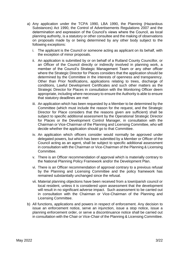- a) Any application under the TCPA 1990, LBA 1990, the Planning (Hazardous Substances) Act 1990, the Control of Advertisements Regulations 2007 and the determination and expression of the Council's views where the Council, as local planning authority, is a statutory or other consultee and the making of observations on proposals made by or being determined by any other body subject to the following exceptions:
	- i. The applicant is the Council or someone acting as applicant on its behalf, with the exception of minor proposals.
	- ii. An application is submitted by or on behalf of a Rutland County Councillor, or an Officer of the Council directly or indirectly involved in planning work, a member of the Council's Strategic Management Team or any other officer where the Strategic Director for Places considers that the application should be determined by the Committee in the interests of openness and transparency. Other than Prior Notifications, applications relating to trees, discharge of conditions, Lawful Development Certificates and such other matters as the Strategic Director for Places in consultation with the Monitoring Officer deem appropriate, including where necessary to ensure the Authority is able to ensure that statutory deadlines are met
	- iii. An application which has been requested by a Member to be determined by the Committee (which must include the reason for the request, and the Strategic Director for Place considers that the reasons given are sufficient) shall be subject to specific additional assessment by the Operational Strategic Director for Places or the Development Control Manager, in consultation with the Chairman or Vice-Chairman of the Planning and Licensing Committee, who will decide whether the application should go to that Committee.
	- iv. An application which officers consider would normally be approved under delegated powers, but which has been submitted by a Member or Officer of the Council acting as an agent, shall be subject to specific additional assessment in consultation with the Chairman or Vice-Chairman of the Planning & Licensing Committee.
	- v. There is an Officer recommendation of approval which is materially contrary to the National Planning Policy Framework and/or the Development Plan.
	- vi. There is an Officer recommendation of approval contrary to a previous refusal by the Planning and Licensing Committee and the policy framework has remained substantially unchanged since the refusal.
	- vii. Material planning objections have been received from a town/parish council or local resident, unless it is considered upon assessment that the development will result in no significant adverse impact. Such assessment to be carried out in consultation with the Chairman or Vice-Chairman of the Planning and Licensing Committee.
- b) All functions, applications and powers in respect of enforcement. Any decision to issue an enforcement notice, serve an injunction, issue a stop notice, issue a planning enforcement order, or serve a discontinuance notice shall be carried out in consultation with the Chair or Vice-Chair of the Planning & Licensing Committee.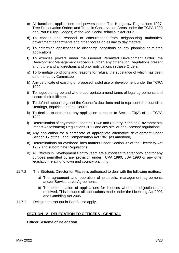- c) All functions, applications and powers under The Hedgerow Regulations 1997, Tree Preservation Orders and Trees in Conservation Areas under the TCPA 1990 and Part 8 (High Hedges) of the Anti-Social Behaviour Act 2003.
- d) To consult and respond to consultations from neighbouring authorities, government departments and other bodies on all day to day matters.
- e) To determine applications to discharge conditions on any planning or related applications
- f) To exercise powers under the General Permitted Development Order, the Development Management Procedure Order, any other such Regulations present and future and all directions and prior notifications in these Orders.
- g) To formulate conditions and reasons for refusal the substance of which has been determined by Committee
- h) Any certificate of existing or proposed lawful use or development under the TCPA 1990
- i) To negotiate, agree and where appropriate amend terms of legal agreements and secure their fulfilment
- j) To defend appeals against the Council's decisions and to represent the council at Hearings, Inquiries and the Courts
- k) To decline to determine any application pursuant to Section 70(A) of the TCPA 1990
- l) Determination of any matter under the Town and Country Planning (Environmental Impact Assessment) Regulations 2011 and any similar or successor regulations
- m) Any application for a certificate of appropriate alternative development under Section 17 of the Land Compensation Act 1961 (as amended)
- n) Determinations on overhead lines matters under Section 37 of the Electricity Act 1989 and subordinate Regulations.
- o) All Officers in Development Control team are authorised to enter onto land for any purpose permitted by any provision under TCPA 1990, LBA 1990 or any other legislation relating to town and country planning
- 11.7.2 The Strategic Director for Places is authorised to deal with the following matters:
	- a) The agreement and operation of protocols, management agreements and/or Service Level Agreements
	- b) The determination of applications for licences where no objections are received. This includes all applications made under the Licensing Act 2003 and Gambling Act 2005.
- 11.7.2 Delegations set out in Part 3 also apply.

#### **SECTION 12 - DELEGATION TO OFFICERS - GENERAL**

#### **Officer Scheme of Delegation**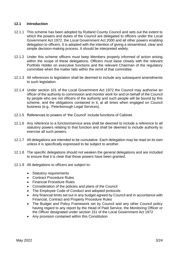#### **12.1 Introduction**

- 12.1.1 This scheme has been adopted by Rutland County Council and sets out the extent to which the powers and duties of the Council are delegated to officers under the Local Government Act 1972, the Local Government Act 2000 and all other powers enabling delegation to officers. It is adopted with the intention of giving a streamlined, clear and simple decision-making process. It should be interpreted widely.
- 12.1.2 Under this scheme officers must keep Members properly informed of action arising within the scope of these delegations. Officers must liaise closely with the relevant Portfolio Holder on executive functions and the relevant Chairman of the regulatory committee when the matter falls within the remit of that committee.
- 12.1.3 All references to legislation shall be deemed to include any subsequent amendments to such legislation.
- 12.1.4 Under section 101 of the Local Government Act 1972 the Council may authorise an officer of the authority to commission and monitor work for and on behalf of the Council by people who are not officers of the authority and such people will be bound by this scheme, and the obligations contained in it, at all times when engaged on Council business (e.g.. Peterborough Legal Services).
- 12.1.5 References to powers of 'the Council' include functions of Cabinet.
- 12.1.6 Any reference to a function/service area shall be deemed to include a reference to all statutory powers relating to that function and shall be deemed to include authority to exercise all such powers.
- 12.1.7 All delegations are intended to be cumulative. Each delegation may be read on its own unless it is specifically expressed to be subject to another.
- 12.1.8 The specific delegations should not weaken the general delegations and are included to ensure that it is clear that those powers have been granted.
- 12.1.9 All delegations to officers are subject to:
	- Statutory requirements
	- Contract Procedure Rules
	- Financial Procedure Rules
	- Consideration of the policies and plans of the Council
	- The Employee Code of Conduct and adopted protocols
	- Any financial limits set out in any budget agreed by Council and in accordance with Financial, Contract and Property Procedure Rules
	- The Budget and Policy Framework set by Council and any other Council policy having regard to any report by the Head of Paid Service, the Monitoring Officer or the Officer designated under section 151 of the Local Government Act 1972
	- Any provision contained within this Constitution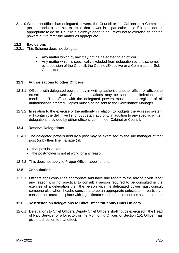12.1.10 Where an officer has delegated powers, the Council or the Cabinet or a Committee (as appropriate) can still exercise that power in a particular case if it considers it appropriate to do so. Equally it is always open to an Officer not to exercise delegated powers but to refer the matter as appropriate.

#### **12.2 Exclusions**

- 12.2.1 This Scheme does not delegate:
	- Any matter which by law may not be delegated to an officer
	- Any matter which is specifically excluded from delegation by this scheme, by a decision of the Council, the Cabinet/Executive or a Committee or Sub-Committee.

#### **12.3 Authorisations to other Officers**

- 12.3.1 Officers with delegated powers may in writing authorise another officer or officers to exercise those powers. Such authorisations may be subject to limitations and conditions. The officer with the delegated powers must keep a register of all authorisations granted. Copies must also be sent to the Governance Manager.
- 12.3.2 In relation to the exercise of the authority in relation to budgets the Agresso system will contain the definitive list of budgetary authority in addition to any specific written delegations provided by either officers, committee, Cabinet or Council.

#### **12.4 Reserve Delegations**

- 12.4.1 The delegated powers held by a post may be exercised by the line manager of that post (or by their line manager) if:
	- that post is vacant
	- the post-holder is not at work for any reason
- 12.4.2 This does not apply to Proper Officer appointments

#### **12.5 Consultation**

12.5.1 Officers shall consult as appropriate and have due regard to the advice given. If for any reason it is not practical to consult a person required to be consulted in the exercise of a delegation then the person with the delegated power must consult someone else whom he/she considers to be an appropriate substitute. In particular, consultation must take place with legal, finance and human resources as appropriate.

#### **12.6 Restriction on delegations to Chief Officers/Deputy Chief Officers**

12.6.1 Delegations to Chief Officers/Deputy Chief Officers shall not be exercised if the Head of Paid Service, or a Director, or the Monitoring Officer, or Section 151 Officer, has given a direction to that effect.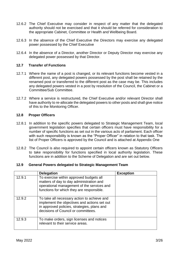- 12.6.2 The Chief Executive may consider in respect of any matter that the delegated authority should not be exercised and that it should be referred for consideration to the appropriate Cabinet, Committee or Health and Wellbeing Board.
- 12.6.3 In the absence of the Chief Executive the Directors may exercise any delegated power possessed by the Chief Executive
- 12.6.4 In the absence of a Director, another Director or Deputy Director may exercise any delegated power possessed by that Director.

#### **12.7 Transfer of Functions**

- 12.7.1 Where the name of a post is changed, or its relevant functions become vested in a different post, any delegated powers possessed by the post shall be retained by the renamed post or transferred to the different post as the case may be. This includes any delegated powers vested in a post by resolution of the Council, the Cabinet or a Committee/Sub Committee.
- 12.7.2 Where a service is restructured, the Chief Executive and/or relevant Director shall have authority to re-allocate the delegated powers to other posts and shall give notice of this to the Monitoring Officer.

#### **12.8 Proper Officers**

- 12.8.1 In addition to the specific powers delegated to Strategic Management Team, local government legislation specifies that certain officers must have responsibility for a number of specific functions as set out in the various acts of parliament. Each officer with such responsibility is known as the "Proper Officer" in relation to that task. The list of Proper Officers is approved by the Council and is attached at Appendix One
- 12.8.2 The Council is also required to appoint certain officers known as Statutory Officers to take responsibility for functions specified in local authority legislation. These functions are in addition to the Scheme of Delegation and are set out below.

#### **12.9 General Powers delegated to Strategic Management Team**

|        | <b>Delegation</b>                                                                                                                                                                 | <b>Exception</b> |
|--------|-----------------------------------------------------------------------------------------------------------------------------------------------------------------------------------|------------------|
| 12.9.1 | To exercise within approved budgets all<br>matters of day to day administration and<br>operational management of the services and<br>functions for which they are responsible.    |                  |
| 12.9.2 | To take all necessary action to achieve and<br>implement the objectives and actions set out<br>in approved policies, strategies, plans and<br>decisions of Council or committees. |                  |
| 12.9.3 | To make orders, sign licenses and notices<br>relevant to their service areas.                                                                                                     |                  |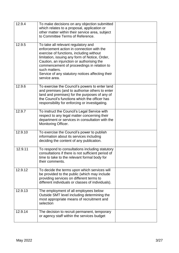| 12.9.4  | To make decisions on any objection submitted<br>which relates to a proposal, application or<br>other matter within their service area, subject<br>to Committee Terms of Reference.                                                                                                                                                                              |  |
|---------|-----------------------------------------------------------------------------------------------------------------------------------------------------------------------------------------------------------------------------------------------------------------------------------------------------------------------------------------------------------------|--|
| 12.9.5  | To take all relevant regulatory and<br>enforcement action in connection with the<br>exercise of functions, including without<br>limitation, issuing any form of Notice, Order,<br>Caution, an injunction or authorising the<br>commencement of proceedings in relation to<br>such matters.<br>Service of any statutory notices affecting their<br>service area. |  |
| 12.9.6  | To exercise the Council's powers to enter land<br>and premises (and to authorise others to enter<br>land and premises) for the purposes of any of<br>the Council's functions which the officer has<br>responsibility for enforcing or investigating.                                                                                                            |  |
| 12.9.7  | To instruct the Council's Legal Service with<br>respect to any legal matter concerning their<br>department or services in consultation with the<br>Monitoring Officer.                                                                                                                                                                                          |  |
| 12.9.10 | To exercise the Council's power to publish<br>information about its services including<br>deciding the content of any publication.                                                                                                                                                                                                                              |  |
| 12.9.11 | To respond to consultations including statutory<br>consultations if there is not sufficient period of<br>time to take to the relevant formal body for<br>their comments.                                                                                                                                                                                        |  |
| 12.9.12 | To decide the terms upon which services will<br>be provided to the public (which may include<br>providing services on different terms to<br>different individuals or classes of individuals).                                                                                                                                                                   |  |
| 12.9.13 | The employment of all employees below<br>Outside SMT level including determining the<br>most appropriate means of recruitment and<br>selection                                                                                                                                                                                                                  |  |
| 12.9.14 | The decision to recruit permanent, temporary<br>or agency staff within the services budget                                                                                                                                                                                                                                                                      |  |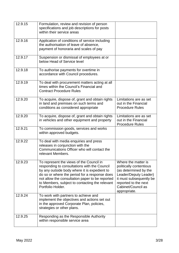| 12.9.15 | Formulation, review and revision of person<br>specifications and job descriptions for posts<br>within their service areas                                                                                                                                                                                           |                                                                                                                                                                                           |
|---------|---------------------------------------------------------------------------------------------------------------------------------------------------------------------------------------------------------------------------------------------------------------------------------------------------------------------|-------------------------------------------------------------------------------------------------------------------------------------------------------------------------------------------|
| 12.9.16 | Application of conditions of service including<br>the authorisation of leave of absence,<br>payment of honoraria and scales of pay                                                                                                                                                                                  |                                                                                                                                                                                           |
| 12.9.17 | Suspension or dismissal of employees at or<br>below Head of Service level                                                                                                                                                                                                                                           |                                                                                                                                                                                           |
| 12.9.18 | To authorise payments for overtime in<br>accordance with Council procedures.                                                                                                                                                                                                                                        |                                                                                                                                                                                           |
| 12.9.19 | To deal with procurement matters acting at all<br>times within the Council's Financial and<br><b>Contract Procedure Rules</b>                                                                                                                                                                                       |                                                                                                                                                                                           |
| 12.9.20 | To acquire, dispose of, grant and obtain rights<br>in land and premises on such terms and<br>conditions as considered appropriate                                                                                                                                                                                   | Limitations are as set<br>out in the Financial<br><b>Procedure Rules</b>                                                                                                                  |
| 12.9.20 | To acquire, dispose of, grant and obtain rights<br>in vehicles and other equipment and property                                                                                                                                                                                                                     | Limitations are as set<br>out in the Financial<br><b>Procedure Rules</b>                                                                                                                  |
| 12.9.21 | To commission goods, services and works<br>within approved budgets.                                                                                                                                                                                                                                                 |                                                                                                                                                                                           |
| 12.9.22 | To deal with media enquiries and press<br>releases in conjunction with the<br>Communications Officer who will contact the<br>relevant Members.                                                                                                                                                                      |                                                                                                                                                                                           |
| 12.9.23 | To represent the views of the Council in<br>responding to consultations with the Council<br>by any outside body where it is expedient to<br>do so or where the period for a response does<br>not allow the consultation paper to be reported<br>to Members, subject to contacting the relevant<br>Portfolio Holder. | Where the matter is<br>politically contentious<br>(as determined by the<br>Leader/Deputy Leader)<br>it must subsequently be<br>reported to the next<br>Cabinet/Council as<br>appropriate. |
| 12.9.24 | To work with partners to achieve and<br>implement the objectives and actions set out<br>in the approved Corporate Plan, policies,<br>strategies or other plans.                                                                                                                                                     |                                                                                                                                                                                           |
| 12.9.25 | Responding as the Responsible Authority<br>within responsible service area                                                                                                                                                                                                                                          |                                                                                                                                                                                           |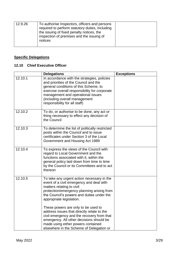| 12.9.26 | To authorise Inspectors, officers and persons<br>required to perform statutory duties, including<br>the issuing of fixed penalty notices, the<br>inspection of premises and the issuing of<br>notices |  |
|---------|-------------------------------------------------------------------------------------------------------------------------------------------------------------------------------------------------------|--|
|---------|-------------------------------------------------------------------------------------------------------------------------------------------------------------------------------------------------------|--|

# **Specific Delegations**

#### **12.10 Chief Executive Officer**

|         | <b>Delegations</b>                                                                                                                                                                                                                                                                    | <b>Exceptions</b> |
|---------|---------------------------------------------------------------------------------------------------------------------------------------------------------------------------------------------------------------------------------------------------------------------------------------|-------------------|
| 12.10.1 | In accordance with the strategies, policies<br>and priorities of the Council and the<br>general conditions of this Scheme, to<br>exercise overall responsibility for corporate<br>management and operational issues<br>(including overall management<br>responsibility for all staff) |                   |
| 12.10.2 | To do, or authorise to be done, any act or<br>thing necessary to effect any decision of<br>the Council                                                                                                                                                                                |                   |
| 12.10.3 | To determine the list of politically restricted<br>posts within the Council and to issue<br>certificates under Section 3 of the Local<br>Government and Housing Act 1989                                                                                                              |                   |
| 12.10.4 | To express the views of the Council with<br>regard to Local Government and the<br>functions associated with it, within the<br>general policy laid down from time to time<br>by the Council or its Committees and to act<br>thereon                                                    |                   |
| 12.10.5 | To take any urgent action necessary in the<br>event of a civil emergency and deal with<br>matters relating to civil<br>protection/emergency planning arising from<br>the Council's powers and duties under the<br>appropriate legislation.                                            |                   |
|         | These powers are only to be used to<br>address issues that directly relate to the<br>civil emergency and the recovery from that<br>emergency. All other decisions should be<br>made using either powers contained<br>elsewhere in the Scheme of Delegation or                         |                   |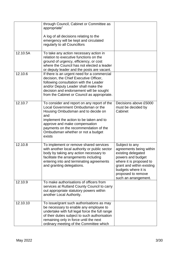|          | through Council, Cabinet or Committee as<br>appropriate"<br>A log of all decisions relating to the                                                                                                                                                                                                |                                                                                                                                                                                                                   |
|----------|---------------------------------------------------------------------------------------------------------------------------------------------------------------------------------------------------------------------------------------------------------------------------------------------------|-------------------------------------------------------------------------------------------------------------------------------------------------------------------------------------------------------------------|
|          | emergency will be kept and circulated<br>regularly to all Councillors                                                                                                                                                                                                                             |                                                                                                                                                                                                                   |
| 12.10.5A | To take any action necessary action in<br>relation to executive functions on the<br>ground of urgency, efficiency, or cost<br>where the Council has not elected a leader<br>or deputy leader and the posts are vacant.                                                                            |                                                                                                                                                                                                                   |
| 12.10.6  | If there is an urgent need for a commercial<br>decision, the Chief Executive Officer,<br>following consultation with the Leader<br>and/or Deputy Leader shall make the<br>decision and endorsement will be sought<br>from the Cabinet or Council as appropriate.                                  |                                                                                                                                                                                                                   |
| 12.10.7  | To consider and report on any report of the<br>Local Government Ombudsman or the<br>Housing Ombudsman and to decide on<br>and<br>implement the action to be taken and to<br>approve and make compensation<br>payments on the recommendation of the<br>Ombudsman whether or not a budget<br>exists | Decisions above £5000<br>must be decided by<br>Cabinet                                                                                                                                                            |
| 12.10.8  | To implement or remove shared services<br>with another local authority or public sector<br>body by taking any action necessary to<br>facilitate the arrangements including<br>entering into and terminating agreements<br>and granting delegations.                                               | Subject to any<br>agreements being within<br>existing delegated<br>powers and budget<br>where it is proposed to<br>grant and within existing<br>budgets where it is<br>proposed to remove<br>such an arrangement. |
| 12.10.9  | To make authorisations of officers from<br>services at Rutland County Council to carry<br>out appropriate statutory powers within<br>another Local Authority.                                                                                                                                     |                                                                                                                                                                                                                   |
| 12.10.10 | To issue/grant such authorisations as may<br>be necessary to enable any employee to<br>undertake with full legal force the full range<br>of their duties subject to such authorisation<br>remaining only in force until the next<br>ordinary meeting of the Committee which                       |                                                                                                                                                                                                                   |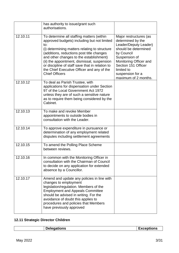|          | has authority to issue/grant such<br>authorisations.                                                                                                                                                                                                                                                                                                                                                              |                                                                                                                                                                                                                                        |
|----------|-------------------------------------------------------------------------------------------------------------------------------------------------------------------------------------------------------------------------------------------------------------------------------------------------------------------------------------------------------------------------------------------------------------------|----------------------------------------------------------------------------------------------------------------------------------------------------------------------------------------------------------------------------------------|
| 12.10.11 | To determine all staffing matters (within<br>approved budgets) including but not limited<br>to:<br>(i) determining matters relating to structure<br>(additions, reductions post title changes<br>and other changes to the establishment)<br>(ii) the appointment, dismissal, suspension<br>or discipline of staff save that in relation to<br>the Chief Executive Officer and any of the<br><b>Chief Officers</b> | Major restructures (as<br>determined by the<br>Leader/Deputy Leader)<br>should be determined<br>by Council<br>Suspension of<br>Monitoring Officer and<br>Section 151 Officer<br>limited to<br>suspension for a<br>maximum of 2 months. |
| 12.10.12 | To deal as Parish Trustee, with<br>applications for dispensation under Section<br>97 of the Local Government Act 1972<br>unless they are of such a sensitive nature<br>as to require them being considered by the<br>Cabinet.                                                                                                                                                                                     |                                                                                                                                                                                                                                        |
| 12.10.13 | To make and revoke Member<br>appointments to outside bodies in<br>consultation with the Leader.                                                                                                                                                                                                                                                                                                                   |                                                                                                                                                                                                                                        |
| 12.10.14 | To approve expenditure in pursuance or<br>determination of any employment related<br>disputes including settlement agreements                                                                                                                                                                                                                                                                                     |                                                                                                                                                                                                                                        |
| 12.10.15 | To amend the Polling Place Scheme<br>between reviews.                                                                                                                                                                                                                                                                                                                                                             |                                                                                                                                                                                                                                        |
| 12.10.16 | In common with the Monitoring Officer in<br>consultation with the Chairman of Council<br>to decide on any application for extended<br>absence by a Councillor.                                                                                                                                                                                                                                                    |                                                                                                                                                                                                                                        |
| 12.10.17 | Amend and update any policies in line with<br>changes to employment<br>legislation/regulation. Members of the<br><b>Employment and Appeals Committee</b><br>should be advised in writing. For the<br>avoidance of doubt this applies to<br>procedures and policies that Members<br>have previously approved                                                                                                       |                                                                                                                                                                                                                                        |

# **12.11 Strategic Director Children**

| Delegations | Exceptions |
|-------------|------------|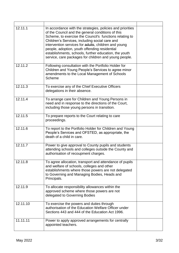| 12.11.1  | In accordance with the strategies, policies and priorities<br>of the Council and the general conditions of this<br>Scheme, to exercise the Council's functions relating to<br>Children's Services, including social care and<br>intervention services for adults, children and young<br>people, adoption, youth offending residential<br>establishments, schools, further education, the youth<br>service, care packages for children and young people. |  |
|----------|---------------------------------------------------------------------------------------------------------------------------------------------------------------------------------------------------------------------------------------------------------------------------------------------------------------------------------------------------------------------------------------------------------------------------------------------------------|--|
| 12.11.2  | Following consultation with the Portfolio Holder for<br>Children and Young People's Services to agree minor<br>amendments to the Local Management of Schools<br>Scheme                                                                                                                                                                                                                                                                                  |  |
| 12.11.3  | To exercise any of the Chief Executive Officers<br>delegations in their absence.                                                                                                                                                                                                                                                                                                                                                                        |  |
| 12.11.4  | To arrange care for Children and Young Persons in<br>need and in response to the directions of the Court,<br>including those young persons in transition.                                                                                                                                                                                                                                                                                               |  |
| 12.11.5  | To prepare reports to the Court relating to care<br>proceedings.                                                                                                                                                                                                                                                                                                                                                                                        |  |
| 12.11.6  | To report to the Portfolio Holder for Children and Young<br>People's Services and OFSTED, as appropriate, the<br>death of a child in care.                                                                                                                                                                                                                                                                                                              |  |
| 12.11.7  | Power to give approval to County pupils and students<br>attending schools and colleges outside the County and<br>authorisation of recoupment charges.                                                                                                                                                                                                                                                                                                   |  |
| 12.11.8  | To agree allocation, transport and attendance of pupils<br>and welfare of schools, colleges and other<br>establishments where those powers are not delegated<br>to Governing and Managing Bodies, Heads and<br>Principals.                                                                                                                                                                                                                              |  |
| 12.11.9  | To allocate responsibility allowances within the<br>approved scheme where those powers are not<br>delegated to Governing Bodies                                                                                                                                                                                                                                                                                                                         |  |
| 12.11.10 | To exercise the powers and duties through<br>authorisation of the Education Welfare Officer under<br>Sections 443 and 444 of the Education Act 1996.                                                                                                                                                                                                                                                                                                    |  |
| 11.11.11 | Power to apply approved arrangements for centrally<br>appointed teachers.                                                                                                                                                                                                                                                                                                                                                                               |  |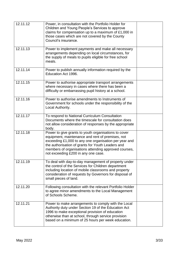| 12.11.12 | Power, in consultation with the Portfolio Holder for<br>Children and Young People's Services to approve<br>claims for compensation up to a maximum of £1,000 in<br>those cases which are not covered by the County<br>Council's insurance.                                                                            |  |
|----------|-----------------------------------------------------------------------------------------------------------------------------------------------------------------------------------------------------------------------------------------------------------------------------------------------------------------------|--|
| 12.11.13 | Power to implement payments and make all necessary<br>arrangements depending on local circumstances, for<br>the supply of meals to pupils eligible for free school<br>meals.                                                                                                                                          |  |
| 12.11.14 | Power to publish annually information required by the<br>Education Act 1996.                                                                                                                                                                                                                                          |  |
| 12.11.15 | Power to authorise appropriate transport arrangements<br>where necessary in cases where there has been a<br>difficulty or embarrassing pupil history at a school.                                                                                                                                                     |  |
| 12.11.16 | Power to authorise amendments to Instruments of<br>Government for schools under the responsibility of the<br>Local Authority.                                                                                                                                                                                         |  |
| 12.11.17 | To respond to National Curriculum Consultation<br>Documents where the timescale for consultation does<br>not allow consideration of responses by the appropriate<br>body.                                                                                                                                             |  |
| 12.11.18 | Power to give grants to youth organisations to cover<br>equipment, maintenance and rent of premises, not<br>exceeding £1,000 to any one organisation per year and<br>the authorisation of grants for Youth Leaders and<br>members of organisations attending approved courses,<br>not exceeding £200 in any one case. |  |
| 12.11.19 | To deal with day-to-day management of property under<br>the control of the Services for Children department<br>including location of mobile classrooms and property<br>consideration of requests by Governors for disposal of<br>small pieces of land.                                                                |  |
| 12.11.20 | Following consultation with the relevant Portfolio Holder<br>to agree minor amendments to the Local Management<br>of Schools Scheme.                                                                                                                                                                                  |  |
| 12.11.21 | Power to make arrangements to comply with the Local<br>Authority duty under Section 19 of the Education Act<br>1996 to make exceptional provision of education<br>otherwise than at school, through service provision<br>based on a minimum of 25 hours per week education.                                           |  |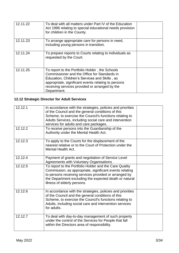| 12.11.22 | To deal with all matters under Part IV of the Education<br>Act 1996 relating to special educational needs provision<br>for children in the County.                                                                                                                      |  |
|----------|-------------------------------------------------------------------------------------------------------------------------------------------------------------------------------------------------------------------------------------------------------------------------|--|
| 12.11.23 | To arrange appropriate care for persons in need,<br>including young persons in transition.                                                                                                                                                                              |  |
| 12.11.24 | To prepare reports to Courts relating to individuals as<br>requested by the Court.                                                                                                                                                                                      |  |
| 12.11.25 | To report to the Portfolio Holder, the Schools<br>Commissioner and the Office for Standards in<br>Education, Children's Services and Skills, as<br>appropriate, significant events relating to persons<br>receiving services provided or arranged by the<br>Department. |  |

# **12.12 Strategic Director for Adult Services**

| 12.12.1 | In accordance with the strategies, policies and priorities<br>of the Council and the general conditions of this<br>Scheme, to exercise the Council's functions relating to<br>Adults Services, including social care and intervention<br>services for adults and care packages. |  |
|---------|---------------------------------------------------------------------------------------------------------------------------------------------------------------------------------------------------------------------------------------------------------------------------------|--|
| 12.12.2 | To receive persons into the Guardianship of the<br>Authority under the Mental Health Act.                                                                                                                                                                                       |  |
| 12.12.3 | To apply to the Courts for the displacement of the<br>nearest relative or to the Court of Protection under the<br>Mental Health Act.                                                                                                                                            |  |
| 12.12.4 | Payment of grants and negotiation of Service Level<br>Agreements with Voluntary Organisations.                                                                                                                                                                                  |  |
| 12.12.5 | To report to the Portfolio Holder and the Care Quality<br>Commission, as appropriate, significant events relating<br>to persons receiving services provided or arranged by<br>the Department excluding the expected death or natural<br>illness of elderly persons.             |  |
| 12.12.6 | In accordance with the strategies, policies and priorities<br>of the Council and the general conditions of this<br>Scheme, to exercise the Council's functions relating to<br>Adults, including social care and intervention services<br>for adults.                            |  |
| 12.12.7 | To deal with day-to-day management of such property<br>under the control of the Services for People that fall<br>within the Directors area of responsibility.                                                                                                                   |  |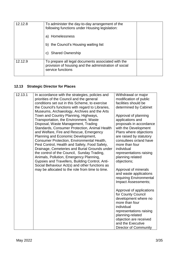| 12.12.8 | To administer the day-to-day arrangement of the<br>following functions under Housing legislation:                                |  |
|---------|----------------------------------------------------------------------------------------------------------------------------------|--|
|         | a) Homelessness                                                                                                                  |  |
|         | the Council's Housing waiting list<br>b)                                                                                         |  |
|         | <b>Shared Ownership</b><br>C)                                                                                                    |  |
| 12.12.9 | To prepare all legal documents associated with the<br>provision of housing and the administration of social<br>service functions |  |

# **12.13 Strategic Director for Places**

| 12.13.1 | In accordance with the strategies, policies and<br>priorities of the Council and the general<br>conditions set out in this Scheme, to exercise<br>the Council's functions with regard to Libraries,<br>Museums, Archaeology, Archives and the Arts<br>Town and Country Planning, Highways,<br>Transportation, the Environment, Waste<br>Disposal, Waste Management, Trading                                                 | Withdrawal or major<br>modification of public<br>facilities should be<br>determined by Cabinet<br>Approval of planning<br>applications and<br>proposals in accordance                                                                |
|---------|-----------------------------------------------------------------------------------------------------------------------------------------------------------------------------------------------------------------------------------------------------------------------------------------------------------------------------------------------------------------------------------------------------------------------------|--------------------------------------------------------------------------------------------------------------------------------------------------------------------------------------------------------------------------------------|
|         | Standards, Consumer Protection, Animal Health<br>and Welfare, Fire and Rescue, Emergency<br>Planning and Economic Development,<br>Consumer Protection, Environmental Health,<br>Pest Control, Health and Safety, Food Safety,<br>Drainage, Cemeteries and Burial Grounds under<br>the control of the Council, Sunday Trading,<br>Animals, Pollution, Emergency Planning,<br>Gypsies and Travellers, Building Control, Anti- | with the Development<br>Plans where objections<br>are raised by statutory<br>consultees or/and have<br>more than four<br>individual<br>representations raising<br>planning related<br>objections;                                    |
|         | Social Behaviour Act(s) and other functions as<br>may be allocated to the role from time to time.                                                                                                                                                                                                                                                                                                                           | Approval of minerals<br>and waste applications<br>requiring Environmental<br>Impact Assessments;                                                                                                                                     |
|         |                                                                                                                                                                                                                                                                                                                                                                                                                             | Approval of applications<br>for County Council<br>development where no<br>more than four<br>individual<br>representations raising<br>planning-related<br>objection are received<br>and the Executive<br><b>Director of Community</b> |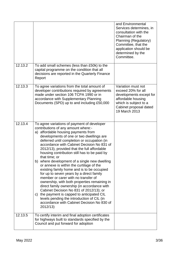|         |                                                                                                                                                                                                                                                                                                                                                                                                                                                                                                                                                                                                                                                                                                                                                                                                                                                                                                                   | and Environmental<br>Services determines, in<br>consultation with the<br>Chairman of the<br>Planning (Regulatory)<br>Committee, that the<br>application should be<br>determined by the<br>Committee. |
|---------|-------------------------------------------------------------------------------------------------------------------------------------------------------------------------------------------------------------------------------------------------------------------------------------------------------------------------------------------------------------------------------------------------------------------------------------------------------------------------------------------------------------------------------------------------------------------------------------------------------------------------------------------------------------------------------------------------------------------------------------------------------------------------------------------------------------------------------------------------------------------------------------------------------------------|------------------------------------------------------------------------------------------------------------------------------------------------------------------------------------------------------|
| 12.13.2 | To add small schemes (less than £50k) to the<br>capital programme on the condition that all<br>decisions are reported in the Quarterly Finance<br>Report                                                                                                                                                                                                                                                                                                                                                                                                                                                                                                                                                                                                                                                                                                                                                          |                                                                                                                                                                                                      |
| 12.13.3 | To agree variations from the total amount of<br>developer contributions required by agreements<br>made under section 106 TCPA 1990 or in<br>accordance with Supplementary Planning<br>Documents (SPD) up to and including £50,000                                                                                                                                                                                                                                                                                                                                                                                                                                                                                                                                                                                                                                                                                 | Variation must not<br>exceed 20% for all<br>developments except for<br>affordable housing<br>which is subject to a<br>Cabinet proposal dated<br>19 March 2013                                        |
| 12.13.4 | To agree variations of payment of developer<br>contributions of any amount where:-<br>a) affordable housing payments from<br>developments of one or two dwellings are<br>deferred until completion or occupation (in<br>accordance with Cabinet Decision No 831 of<br>2012/13), provided that the full affordable<br>housing contribution still has to be paid by<br>that time; or<br>b) where development of a single new dwelling<br>or annexe is within the curtilage of the<br>existing family home and is to be occupied<br>for up to seven years by a direct family<br>member or carer with no transfer of<br>ownership, with both properties remaining in<br>direct family ownership (in accordance with<br>Cabinet Decision No 831 of 2012/13); or<br>c) the payment is capped to anticipated CIL<br>levels pending the introduction of CIL (in<br>accordance with Cabinet Decision No 830 of<br>2012/13) |                                                                                                                                                                                                      |
| 12.13.5 | To certify interim and final adoption certificates<br>for highways built to standards specified by the<br>Council and put forward for adoption                                                                                                                                                                                                                                                                                                                                                                                                                                                                                                                                                                                                                                                                                                                                                                    |                                                                                                                                                                                                      |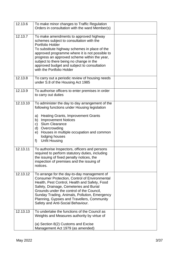| 12.13.6  | To make minor changes to Traffic Regulation<br>Orders in consultation with the ward Member(s)                                                                                                                                                                                                                                                                                     |  |
|----------|-----------------------------------------------------------------------------------------------------------------------------------------------------------------------------------------------------------------------------------------------------------------------------------------------------------------------------------------------------------------------------------|--|
| 12.13.7  | To make amendments to approved highway<br>schemes subject to consultation with the<br>Portfolio Holder<br>To substitute highway schemes in place of the<br>approved programme where it is not possible to<br>progress an approved scheme within the year,<br>subject to there being no change in the<br>approved budget and subject to consultation<br>with the Portfolio Holder  |  |
| 12.13.8  | To carry out a periodic review of housing needs<br>under S.8 of the Housing Act 1985                                                                                                                                                                                                                                                                                              |  |
| 12.13.9  | To authorise officers to enter premises in order<br>to carry out duties                                                                                                                                                                                                                                                                                                           |  |
| 12.13.10 | To administer the day to day arrangement of the<br>following functions under Housing legislation<br><b>Heating Grants, Improvement Grants</b><br>a)<br><b>Improvement Notices</b><br>b)<br><b>Slum Clearance</b><br>C)<br>d)<br>Overcrowding<br>Houses in multiple occupation and common<br>e)<br>lodging houses<br><b>Unfit Housing</b><br>f)                                    |  |
| 12.13.11 | To authorise Inspectors, officers and persons<br>required to perform statutory duties, including<br>the issuing of fixed penalty notices, the<br>inspection of premises and the issuing of<br>notices.                                                                                                                                                                            |  |
| 12.13.12 | To arrange for the day-to-day management of<br><b>Consumer Protection, Control of Environmental</b><br>Health, Pest Control, Health and Safety, Food<br>Safety, Drainage, Cemeteries and Burial<br>Grounds under the control of the Council,<br>Sunday Trading, Animals, Pollution, Emergency<br>Planning, Gypsies and Travellers, Community<br>Safety and Anti-Social Behaviour. |  |
| 12.13.13 | To undertake the functions of the Council as<br>Weights and Measures authority by virtue of<br>(a) Section 8(2) Customs and Excise<br>Management Act 1979 (as amended)                                                                                                                                                                                                            |  |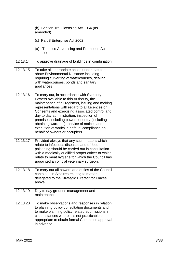|          | (b) Section 169 Licensing Act 1964 (as<br>amended)                                                                                                                                                                                                                                                                                                                                                                                                                          |  |
|----------|-----------------------------------------------------------------------------------------------------------------------------------------------------------------------------------------------------------------------------------------------------------------------------------------------------------------------------------------------------------------------------------------------------------------------------------------------------------------------------|--|
|          | (c) Part 8 Enterprise Act 2002                                                                                                                                                                                                                                                                                                                                                                                                                                              |  |
|          | <b>Tobacco Advertising and Promotion Act</b><br>(a)<br>2002                                                                                                                                                                                                                                                                                                                                                                                                                 |  |
| 12.13.14 | To approve drainage of buildings in combination                                                                                                                                                                                                                                                                                                                                                                                                                             |  |
| 12.13.15 | To take all appropriate action under statute to<br>abate Environmental Nuisance including<br>requiring culverting of watercourses, dealing<br>with watercourses, ponds and sanitary<br>appliances                                                                                                                                                                                                                                                                           |  |
| 12.13.16 | To carry out, in accordance with Statutory<br>Powers available to this Authority, the<br>maintenance of all registers, issuing and making<br>representations with regard to all Licences or<br>Consents and exercising associated control and<br>day to day administration, inspection of<br>premises including powers of entry (including<br>obtaining warrants), service of notices and<br>execution of works in default, compliance on<br>behalf of owners or occupiers. |  |
| 12.13.17 | Provided always that any such matters which<br>relate to infectious diseases and of food<br>poisoning should be carried out in consultation<br>with a medically qualified proper officer or which<br>relate to meat hygiene for which the Council has<br>appointed an official veterinary surgeon.                                                                                                                                                                          |  |
| 12.13.18 | To carry out all powers and duties of the Council<br>contained in Statutes relating to matters<br>delegated to the Strategic Director for Places<br>above.                                                                                                                                                                                                                                                                                                                  |  |
| 12.13.19 | Day to day grounds management and<br>maintenance                                                                                                                                                                                                                                                                                                                                                                                                                            |  |
| 12.13.20 | To make observations and responses in relation<br>to planning policy consultation documents and<br>to make planning policy related submissions in<br>circumstances where it is not practicable or<br>appropriate to obtain formal Committee approval<br>in advance.                                                                                                                                                                                                         |  |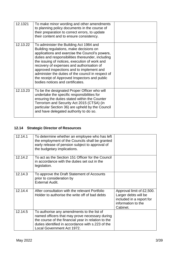| 12.1321  | To make minor wording and other amendments<br>to planning policy documents in the course of<br>their preparation to correct errors, to update<br>their content and to ensure consistency.                                                                                                                                                                                                                                                                                        |  |
|----------|----------------------------------------------------------------------------------------------------------------------------------------------------------------------------------------------------------------------------------------------------------------------------------------------------------------------------------------------------------------------------------------------------------------------------------------------------------------------------------|--|
| 12.13.22 | To administer the Building Act 1984 and<br>Building regulations, make decisions on<br>applications and exercise the Council's powers,<br>duties and responsibilities thereunder, including<br>the issuing of notices, execution of work and<br>recovery of expenses and authorisation of<br>approved inspections and to implement and<br>administer the duties of the council in respect of<br>the receipt of Approved Inspectors and public<br>bodies notices and certificates. |  |
| 12.13.23 | To be the designated Proper Officer who will<br>undertake the specific responsibilities for<br>ensuring the duties stated within the Counter<br>Terrorism and Security Act 2015 (CTSA) (in<br>particular Section 36) are upheld by the Council<br>and have delegated authority to do so.                                                                                                                                                                                         |  |

# **12.14 Strategic Director of Resources**

| 12.14.1 | To determine whether an employee who has left<br>the employment of the Councils shall be granted<br>early release of pension subject to approval of<br>the budgetary implications.                                                     |                                                                                                                 |
|---------|----------------------------------------------------------------------------------------------------------------------------------------------------------------------------------------------------------------------------------------|-----------------------------------------------------------------------------------------------------------------|
| 12.14.2 | To act as the Section 151 Officer for the Council<br>in accordance with the duties set out in the<br>legislation.                                                                                                                      |                                                                                                                 |
| 12.14.3 | To approve the Draft Statement of Accounts<br>prior to consideration by<br><b>External Audit.</b>                                                                                                                                      |                                                                                                                 |
| 12.14.4 | After consultation with the relevant Portfolio<br>Holder to authorise the write off of bad debts                                                                                                                                       | Approval limit of £2,500.<br>Larger debts will be<br>included in a report for<br>information to the<br>Cabinet. |
| 12.14.5 | To authorise any amendments to the list of<br>named officers that may prove necessary during<br>the course of the financial year in relation to the<br>duties identified in accordance with s.223 of the<br>Local Government Act 1972. |                                                                                                                 |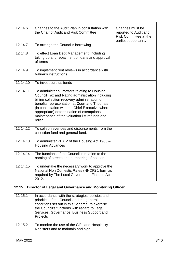| 12.14.6  | Changes to the Audit Plan in consultation with<br>the Chair of Audit and Risk Committee                                                                                                                                                                                                                                                                        | Changes must be<br>reported to Audit and<br><b>Risk Committee at the</b><br>earliest opportunity |
|----------|----------------------------------------------------------------------------------------------------------------------------------------------------------------------------------------------------------------------------------------------------------------------------------------------------------------------------------------------------------------|--------------------------------------------------------------------------------------------------|
| 12.14.7  | To arrange the Council's borrowing                                                                                                                                                                                                                                                                                                                             |                                                                                                  |
| 12.14.8  | To effect Loan Debt Management, including<br>taking up and repayment of loans and approval<br>of terms                                                                                                                                                                                                                                                         |                                                                                                  |
| 12.14.9  | To implement rent reviews in accordance with<br>Valuer's instructions                                                                                                                                                                                                                                                                                          |                                                                                                  |
| 12.14.10 | To invest surplus funds                                                                                                                                                                                                                                                                                                                                        |                                                                                                  |
| 12.14.11 | To administer all matters relating to Housing,<br>Council Tax and Rating administration including<br>billing collection recovery administration of<br>benefits representation at Court and Tribunals<br>(in consultation with the Chief Executive where<br>appropriate) determination of exemptions<br>maintenance of the valuation list refunds and<br>relief |                                                                                                  |
| 12.14.12 | To collect revenues and disbursements from the<br>collection fund and general fund.                                                                                                                                                                                                                                                                            |                                                                                                  |
| 12.14.13 | To administer Pt.XIV of the Housing Act 1985 -<br><b>Housing Advances</b>                                                                                                                                                                                                                                                                                      |                                                                                                  |
| 12.14.14 | The functions of the Council in relation to the<br>naming of streets and numbering of houses                                                                                                                                                                                                                                                                   |                                                                                                  |
| 12.14.15 | To undertake the necessary work to approve the<br>National Non Domestic Rates (NNDR) 1 form as<br>required by The Local Government Finance Act<br>2012.                                                                                                                                                                                                        |                                                                                                  |

# **12.15 Director of Legal and Governance and Monitoring Officer**

| 12.15.1 | In accordance with the strategies, policies and<br>priorities of the Council and the general<br>conditions set out in this Scheme, to exercise<br>the Council's functions with regard to Legal<br>Services, Governance, Business Support and<br>Projects |  |
|---------|----------------------------------------------------------------------------------------------------------------------------------------------------------------------------------------------------------------------------------------------------------|--|
| 12.15.2 | To monitor the use of the Gifts and Hospitality<br>Registers and to maintain and sign                                                                                                                                                                    |  |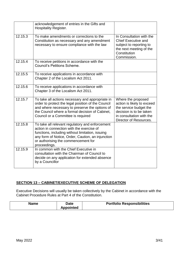|         | acknowledgement of entries in the Gifts and<br><b>Hospitality Register.</b>                                                                                                                                                                                  |                                                                                                                                                             |
|---------|--------------------------------------------------------------------------------------------------------------------------------------------------------------------------------------------------------------------------------------------------------------|-------------------------------------------------------------------------------------------------------------------------------------------------------------|
| 12.15.3 | To make amendments or corrections to the<br>Constitution as necessary and any amendment<br>necessary to ensure compliance with the law                                                                                                                       | In Consultation with the<br><b>Chief Executive and</b><br>subject to reporting to<br>the next meeting of the<br>Constitution<br>Commission.                 |
| 12.15.4 | To receive petitions in accordance with the<br><b>Council's Petitions Scheme.</b>                                                                                                                                                                            |                                                                                                                                                             |
| 12.15.5 | To receive applications in accordance with<br>Chapter 2 of the Localism Act 2011.                                                                                                                                                                            |                                                                                                                                                             |
| 12.15.6 | To receive applications in accordance with<br>Chapter 3 of the Localism Act 2011.                                                                                                                                                                            |                                                                                                                                                             |
| 12.15.7 | To take all actions necessary and appropriate in<br>order to protect the legal position of the Council<br>and where necessary to preserve the options of<br>the Council where a formal decision of Cabinet,<br>Council or a Committee is required            | Where the proposed<br>action is likely to exceed<br>the service budget the<br>decision is to be taken<br>in consultation with the<br>Director of Resources. |
| 12.15.8 | To take all relevant regulatory and enforcement<br>action in connection with the exercise of<br>functions, including without limitation, issuing<br>any form of Notice, Order, Caution, an injunction<br>or authorising the commencement for<br>proceedings. |                                                                                                                                                             |
| 12.15.9 | In common with the Chief Executive in<br>consultation with the Chairman of Council to<br>decide on any application for extended absence<br>by a Councillor                                                                                                   |                                                                                                                                                             |

#### **SECTION 13 – CABINET/EXECUTIVE SCHEME OF DELEGATION**

Executive Decisions will usually be taken collectively by the Cabinet in accordance with the Cabinet Procedure Rules at Part 4 of the Constitution.

| <b>Name</b> | <b>Date</b><br>Appointed | <b>Portfolio Responsibilities</b> |
|-------------|--------------------------|-----------------------------------|
|-------------|--------------------------|-----------------------------------|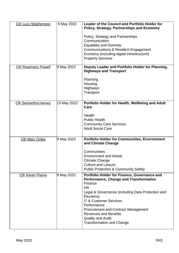| <b>Cllr Lucy Stephenson</b> | 9 May 2022  | <b>Leader of the Council and Portfolio Holder for</b><br><b>Policy, Strategy, Partnerships and Economy</b><br>Policy, Strategy and Partnerships<br>Communication<br><b>Equalities and Diversity</b><br>Communications & Resident Engagement<br>Economy (including digital infrastructure)<br><b>Property Services</b>                                                                      |
|-----------------------------|-------------|--------------------------------------------------------------------------------------------------------------------------------------------------------------------------------------------------------------------------------------------------------------------------------------------------------------------------------------------------------------------------------------------|
| <b>Cllr Rosemary Powell</b> | 9 May 2022  | Deputy Leader and Portfolio Holder for Planning,<br><b>Highways and Transport</b><br>Planning<br>Housing<br><b>Highways</b><br>Transport                                                                                                                                                                                                                                                   |
| <b>Cllr Samantha Harvey</b> | 13 May 2022 | Portfolio Holder for Health, Wellbeing and Adult<br>Care<br>Health<br><b>Public Health</b><br><b>Community Care Services</b><br><b>Adult Social Care</b>                                                                                                                                                                                                                                   |
| <b>Cllr Marc Oxley</b>      | 9 May 2022  | <b>Portfolio Holder for Communities, Environment</b><br>and Climate Change<br>Communities<br><b>Environment and Waste</b><br><b>Climate Change</b><br><b>Culture and Leisure</b><br><b>Public Protection &amp; Community Safety</b>                                                                                                                                                        |
| <b>Cllr Karen Payne</b>     | 9 May 2022  | Portfolio Holder for Finance, Governance and<br><b>Performance, Change and Transformation</b><br>Finance<br><b>HR</b><br>Legal & Governance (including Data Protection and<br>Elections)<br><b>IT &amp; Customer Services</b><br>Performance<br><b>Procurement and Contract Management</b><br><b>Revenues and Benefits</b><br><b>Quality and Audit</b><br><b>Transformation and Change</b> |